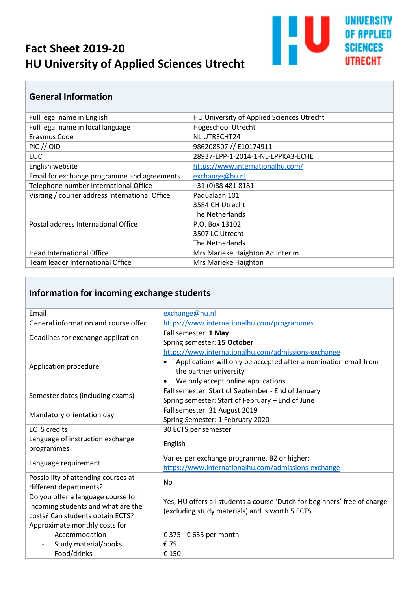# **Fact Sheet 2019-20 HU University of Applied Sciences Utrecht**



#### **General Information**

| Full legal name in English                      | HU University of Applied Sciences Utrecht |
|-------------------------------------------------|-------------------------------------------|
| Full legal name in local language               | <b>Hogeschool Utrecht</b>                 |
| Erasmus Code                                    | <b>NL UTRECHT24</b>                       |
| $PIC$ // $OID$                                  | 986208507 // E10174911                    |
| EUC.                                            | 28937-EPP-1-2014-1-NL-EPPKA3-ECHE         |
| English website                                 | https://www.internationalhu.com/          |
| Email for exchange programme and agreements     | exchange@hu.nl                            |
| Telephone number International Office           | +31 (0)88 481 8181                        |
| Visiting / courier address International Office | Padualaan 101                             |
|                                                 | 3584 CH Utrecht                           |
|                                                 | The Netherlands                           |
| Postal address International Office             | P.O. Box 13102                            |
|                                                 | 3507 LC Utrecht                           |
|                                                 | The Netherlands                           |
| <b>Head International Office</b>                | Mrs Marieke Haighton Ad Interim           |
| Team leader International Office                | Mrs Marieke Haighton                      |

### **Information for incoming exchange students**

| Email                                | exchange@hu.nl                                                                |
|--------------------------------------|-------------------------------------------------------------------------------|
| General information and course offer | https://www.internationalhu.com/programmes                                    |
| Deadlines for exchange application   | Fall semester: 1 May                                                          |
|                                      | Spring semester: 15 October                                                   |
| Application procedure                | https://www.internationalhu.com/admissions-exchange                           |
|                                      | Applications will only be accepted after a nomination email from<br>$\bullet$ |
|                                      | the partner university                                                        |
|                                      | We only accept online applications<br>$\bullet$                               |
| Semester dates (including exams)     | Fall semester: Start of September - End of January                            |
|                                      | Spring semester: Start of February - End of June                              |
| Mandatory orientation day            | Fall semester: 31 August 2019                                                 |
|                                      | Spring Semester: 1 February 2020                                              |
| <b>ECTS</b> credits                  | 30 ECTS per semester                                                          |
| Language of instruction exchange     | English                                                                       |
| programmes                           |                                                                               |
|                                      | Varies per exchange programme, B2 or higher:                                  |
| Language requirement                 | https://www.internationalhu.com/admissions-exchange                           |
| Possibility of attending courses at  | No                                                                            |
| different departments?               |                                                                               |
| Do you offer a language course for   | Yes, HU offers all students a course 'Dutch for beginners' free of charge     |
| incoming students and what are the   | (excluding study materials) and is worth 5 ECTS                               |
| costs? Can students obtain ECTS?     |                                                                               |
| Approximate monthly costs for        |                                                                               |
| Accommodation                        | € 375 - € 655 per month                                                       |
| Study material/books                 | € 75                                                                          |
| Food/drinks                          | € 150                                                                         |